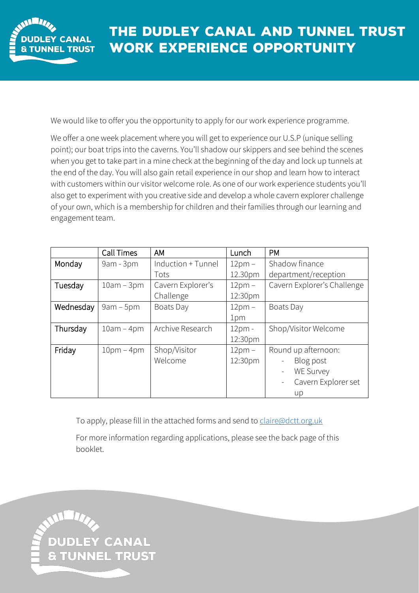

We would like to offer you the opportunity to apply for our work experience programme.

We offer a one week placement where you will get to experience our U.S.P (unique selling point); our boat trips into the caverns. You'll shadow our skippers and see behind the scenes when you get to take part in a mine check at the beginning of the day and lock up tunnels at the end of the day. You will also gain retail experience in our shop and learn how to interact with customers within our visitor welcome role. As one of our work experience students you'll also get to experiment with you creative side and develop a whole cavern explorer challenge of your own, which is a membership for children and their families through our learning and engagement team.

|           | Call Times   | AM                 | Lunch    | <b>PM</b>                                 |
|-----------|--------------|--------------------|----------|-------------------------------------------|
| Monday    | 9am - 3pm    | Induction + Tunnel | $12pm -$ | Shadow finance                            |
|           |              | Tots               | 12.30pm  | department/reception                      |
| Tuesday   | $10am - 3pm$ | Cavern Explorer's  | $12pm -$ | Cavern Explorer's Challenge               |
|           |              | Challenge          | 12:30pm  |                                           |
| Wednesday | $9am - 5pm$  | Boats Day          | $12pm -$ | Boats Day                                 |
|           |              |                    | 1pm      |                                           |
| Thursday  | $10am - 4pm$ | Archive Research   | 12pm -   | Shop/Visitor Welcome                      |
|           |              |                    | 12:30pm  |                                           |
| Friday    | $10pm - 4pm$ | Shop/Visitor       | $12pm -$ | Round up afternoon:                       |
|           |              | Welcome            | 12:30pm  | Blog post<br>$\qquad \qquad \blacksquare$ |
|           |              |                    |          | <b>WE Survey</b><br>$\qquad \qquad -$     |
|           |              |                    |          | Cavern Explorer set                       |
|           |              |                    |          | up                                        |

To apply, please fill in the attached forms and send to [claire@dctt.org.uk](mailto:claire@dctt.org.uk)

For more information regarding applications, please see the back page of this booklet.

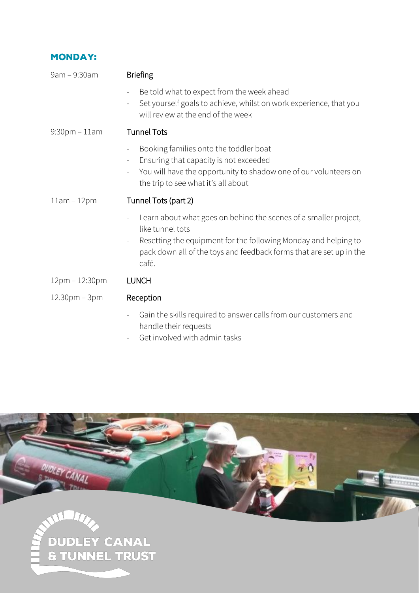### **MONDAY:**

| 9am - 9:30am        | <b>Briefing</b>                                                                                                                                                                                                                                                     |
|---------------------|---------------------------------------------------------------------------------------------------------------------------------------------------------------------------------------------------------------------------------------------------------------------|
|                     | Be told what to expect from the week ahead<br>Set yourself goals to achieve, whilst on work experience, that you<br>$\overline{\phantom{0}}$<br>will review at the end of the week                                                                                  |
| $9:30$ pm - $11$ am | <b>Tunnel Tots</b>                                                                                                                                                                                                                                                  |
|                     | Booking families onto the toddler boat<br>$\overline{\phantom{0}}$<br>Ensuring that capacity is not exceeded<br>$\overline{\phantom{a}}$<br>You will have the opportunity to shadow one of our volunteers on<br>the trip to see what it's all about                 |
| $11am - 12pm$       | Tunnel Tots (part 2)                                                                                                                                                                                                                                                |
|                     | Learn about what goes on behind the scenes of a smaller project,<br>like tunnel tots<br>Resetting the equipment for the following Monday and helping to<br>$\overline{\phantom{0}}$<br>pack down all of the toys and feedback forms that are set up in the<br>café. |
| 12pm - 12:30pm      | <b>LUNCH</b>                                                                                                                                                                                                                                                        |
| 12.30pm - 3pm       | Reception                                                                                                                                                                                                                                                           |
|                     | Gain the skills required to answer calls from our customers and<br>$\overline{\phantom{a}}$<br>handle their requests                                                                                                                                                |

- Get involved with admin tasks

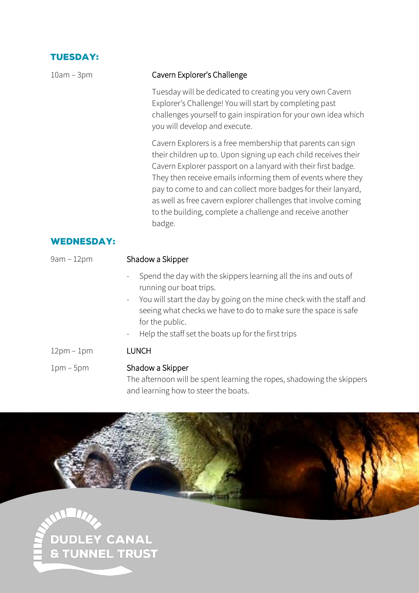## **TUESDAY:**

| $10am - 3pm$      | Cavern Explorer's Challenge                                                                                                                                                                                                                                                                                                                                                                                                                                               |
|-------------------|---------------------------------------------------------------------------------------------------------------------------------------------------------------------------------------------------------------------------------------------------------------------------------------------------------------------------------------------------------------------------------------------------------------------------------------------------------------------------|
|                   | Tuesday will be dedicated to creating you very own Cavern<br>Explorer's Challenge! You will start by completing past<br>challenges yourself to gain inspiration for your own idea which<br>you will develop and execute.                                                                                                                                                                                                                                                  |
|                   | Cavern Explorers is a free membership that parents can sign<br>their children up to. Upon signing up each child receives their<br>Cavern Explorer passport on a lanyard with their first badge.<br>They then receive emails informing them of events where they<br>pay to come to and can collect more badges for their lanyard,<br>as well as free cavern explorer challenges that involve coming<br>to the building, complete a challenge and receive another<br>badge. |
| <b>WEDNESDAY:</b> |                                                                                                                                                                                                                                                                                                                                                                                                                                                                           |
| $9am - 12pm$      | Shadow a Skipper                                                                                                                                                                                                                                                                                                                                                                                                                                                          |
|                   | Spend the day with the skippers learning all the ins and outs of<br>running our boat trips.<br>You will start the day by going on the mine check with the staff and<br>$\blacksquare$<br>seeing what checks we have to do to make sure the space is safe<br>for the public.<br>Help the staff set the boats up for the first trips<br>$\overline{\phantom{a}}$                                                                                                            |
| $12pm - 1pm$      | <b>LUNCH</b>                                                                                                                                                                                                                                                                                                                                                                                                                                                              |
| $1pm-5pm$         | Shadow a Skipper<br>The afternoon will be spent learning the ropes, shadowing the skippers<br>and learning how to steer the boats.                                                                                                                                                                                                                                                                                                                                        |



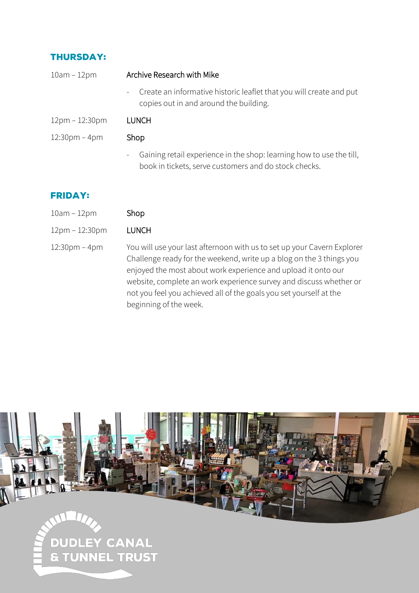## **THURSDAY:**

| $10am - 12pm$                   | Archive Research with Mike                                                                                                                                |  |  |  |
|---------------------------------|-----------------------------------------------------------------------------------------------------------------------------------------------------------|--|--|--|
|                                 | Create an informative historic leaflet that you will create and put<br>$\sim$<br>copies out in and around the building.                                   |  |  |  |
| 12pm – 12:30pm                  | <b>LUNCH</b>                                                                                                                                              |  |  |  |
| $12:30 \text{pm} - 4 \text{pm}$ | Shop                                                                                                                                                      |  |  |  |
|                                 | Gaining retail experience in the shop: learning how to use the till,<br>$\overline{\phantom{a}}$<br>book in tickets, serve customers and do stock checks. |  |  |  |

#### **FRIDAY:**

- $10$ am  $12$ pm Shop
- 12pm 12:30pm LUNCH
- 12:30pm 4pm You will use your last afternoon with us to set up your Cavern Explorer Challenge ready for the weekend, write up a blog on the 3 things you enjoyed the most about work experience and upload it onto our website, complete an work experience survey and discuss whether or not you feel you achieved all of the goals you set yourself at the beginning of the week.

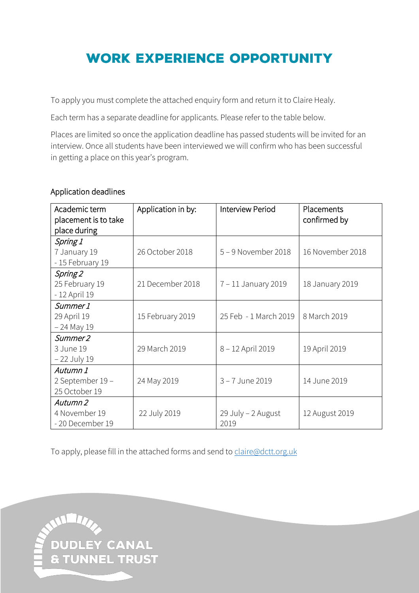# **WORK EXPERIENCE OPPORTUNITY**

To apply you must complete the attached enquiry form and return it to Claire Healy.

Each term has a separate deadline for applicants. Please refer to the table below.

Places are limited so once the application deadline has passed students will be invited for an interview. Once all students have been interviewed we will confirm who has been successful in getting a place on this year's program.

#### Application deadlines

| Academic term<br>placement is to take<br>place during | Application in by: | Interview Period           | Placements<br>confirmed by |  |
|-------------------------------------------------------|--------------------|----------------------------|----------------------------|--|
| Spring 1<br>7 January 19<br>- 15 February 19          | 26 October 2018    | 5-9 November 2018          | 16 November 2018           |  |
| Spring 2<br>25 February 19<br>- 12 April 19           | 21 December 2018   | 7 - 11 January 2019        | 18 January 2019            |  |
| Summer 1<br>29 April 19<br>$-24$ May 19               | 15 February 2019   | 25 Feb - 1 March 2019      | 8 March 2019               |  |
| Summer <sub>2</sub><br>3 June 19<br>- 22 July 19      | 29 March 2019      | 8 - 12 April 2019          | 19 April 2019              |  |
| Autumn 1<br>2 September 19 -<br>25 October 19         | 24 May 2019        | 3-7 June 2019              | 14 June 2019               |  |
| Autumn 2<br>4 November 19<br>-20 December 19          | 22 July 2019       | 29 July - 2 August<br>2019 | 12 August 2019             |  |

To apply, please fill in the attached forms and send to [claire@dctt.org.uk](mailto:claire@dctt.org.uk)